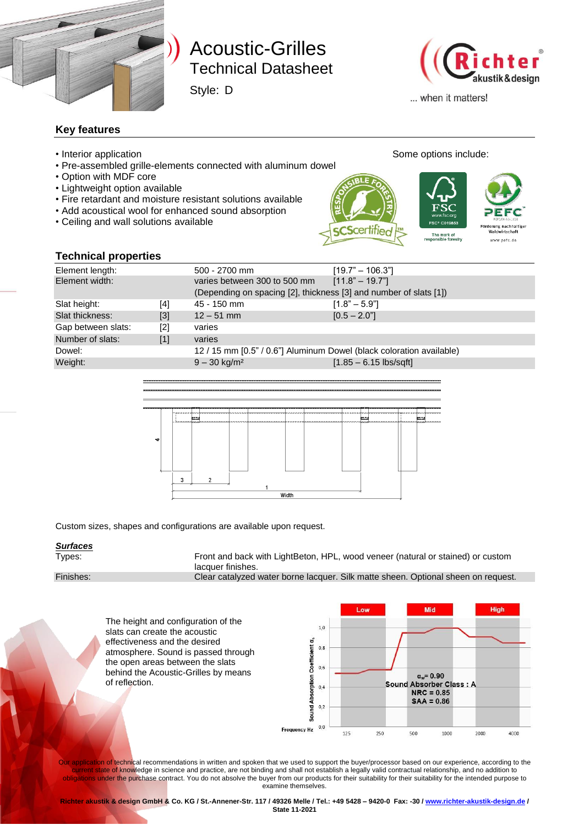

# Technical Datasheet Technical Datasheet Acoustic-Grilles

Style: D



haltige

... when it matters!

### **Key features**

- Interior application **Some options include:** Some options include:
- Pre-assembled grille-elements connected with aluminum dowel
- Option with MDF core
- Lightweight option available
- Fire retardant and moisture resistant solutions available
- Add acoustical wool for enhanced sound absorption
- Ceiling and wall solutions available

The mark of<br>sponsible forestry www.pefc.de

### **Technical properties**

| <b>I CAILINAI PIANEI (ICS</b> |       |                                                                      |                          |  |
|-------------------------------|-------|----------------------------------------------------------------------|--------------------------|--|
| Element length:               |       | 500 - 2700 mm                                                        | $[19.7" - 106.3"]$       |  |
| Element width:                |       | varies between 300 to 500 mm                                         | $[11.8" - 19.7"]$        |  |
|                               |       | (Depending on spacing [2], thickness [3] and number of slats [1])    |                          |  |
| Slat height:                  | [4]   | 45 - 150 mm                                                          | $[1.8" - 5.9"]$          |  |
| Slat thickness:               | $[3]$ | $12 - 51$ mm                                                         | $[0.5 - 2.0]$            |  |
| Gap between slats:            | [2]   | varies                                                               |                          |  |
| Number of slats:              | [1]   | varies                                                               |                          |  |
| Dowel:                        |       | 12 / 15 mm [0.5" / 0.6"] Aluminum Dowel (black coloration available) |                          |  |
| Weight:                       |       | $9 - 30$ kg/m <sup>2</sup>                                           | $[1.85 - 6.15$ lbs/sqft] |  |
|                               |       |                                                                      |                          |  |



Custom sizes, shapes and configurations are available upon request.

#### *Surfaces*

Types: Front and back with LightBeton, HPL, wood veneer (natural or stained) or custom lacquer finishes.

Finishes: Clear catalyzed water borne lacquer. Silk matte sheen. Optional sheen on request.

Low Mid Hinh The height and configuration of the  $1,0$ slats can create the acoustic effectiveness and the desired Sound Absorption Coefficient a,  $0,8$ atmosphere. Sound is passed through the open areas between the slats  $0,6$ behind the Acoustic-Grilles by means  $\alpha_w = 0.90$ of reflection.Sound **Absorber Class: A**  $0,4$  $NRC = 0.85$  $SAA = 0.86$  $0,2$  $0.0$ **Frequency Hz** 125 250 500 1000 2000 4000

Our application of technical recommendations in written and spoken that we used to support the buyer/processor based on our experience, according to the current state of knowledge in science and practice, are not binding and shall not establish a legally valid contractual relationship, and no addition to obligations under the purchase contract. You do not absolve the buyer from our products for their suitability for their suitability for the intended purpose to examine themselves.